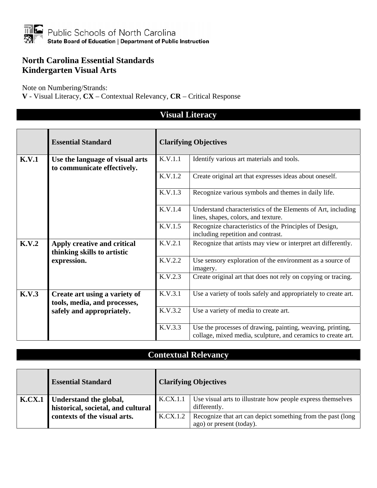

#### **North Carolina Essential Standards Kindergarten Visual Arts**

Note on Numbering/Strands:

**V** - Visual Literacy, **CX** – Contextual Relevancy, **CR** – Critical Response

|       | <b>Essential Standard</b>                                      |         | <b>Clarifying Objectives</b>                                                                                               |  |  |
|-------|----------------------------------------------------------------|---------|----------------------------------------------------------------------------------------------------------------------------|--|--|
| K.V.1 | Use the language of visual arts<br>to communicate effectively. | K.V.1.1 | Identify various art materials and tools.                                                                                  |  |  |
|       |                                                                | K.V.1.2 | Create original art that expresses ideas about oneself.                                                                    |  |  |
|       |                                                                | K.V.1.3 | Recognize various symbols and themes in daily life.                                                                        |  |  |
|       |                                                                | K.V.1.4 | Understand characteristics of the Elements of Art, including<br>lines, shapes, colors, and texture.                        |  |  |
|       |                                                                | K.V.1.5 | Recognize characteristics of the Principles of Design,<br>including repetition and contrast.                               |  |  |
| K.V.2 | Apply creative and critical<br>thinking skills to artistic     | K.V.2.1 | Recognize that artists may view or interpret art differently.                                                              |  |  |
|       | expression.                                                    | K.V.2.2 | Use sensory exploration of the environment as a source of<br>imagery.                                                      |  |  |
|       |                                                                | K.V.2.3 | Create original art that does not rely on copying or tracing.                                                              |  |  |
| K.V.3 | Create art using a variety of<br>tools, media, and processes,  | K.V.3.1 | Use a variety of tools safely and appropriately to create art.                                                             |  |  |
|       | safely and appropriately.                                      | K.V.3.2 | Use a variety of media to create art.                                                                                      |  |  |
|       |                                                                | K.V.3.3 | Use the processes of drawing, painting, weaving, printing,<br>collage, mixed media, sculpture, and ceramics to create art. |  |  |

### **Visual Literacy**

| <b>Essential Standard</b>          |          | <b>Clarifying Objectives</b>                                 |
|------------------------------------|----------|--------------------------------------------------------------|
| K.CX.1   Understand the global,    | K.CX.1.1 | Use visual arts to illustrate how people express themselves  |
| historical, societal, and cultural |          | differently.                                                 |
| contexts of the visual arts.       | K.CX.1.2 | Recognize that art can depict something from the past (long) |
|                                    |          | ago) or present (today).                                     |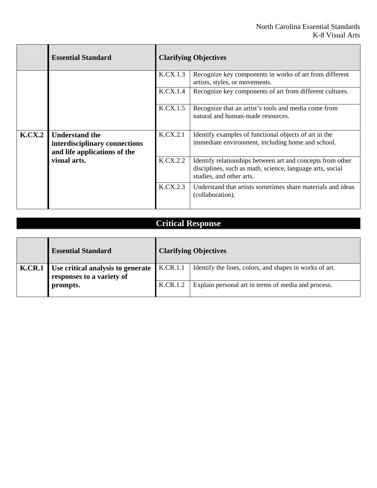Ē.

|        | <b>Essential Standard</b>                                                              |          | <b>Clarifying Objectives</b>                                                                                                                        |  |
|--------|----------------------------------------------------------------------------------------|----------|-----------------------------------------------------------------------------------------------------------------------------------------------------|--|
|        |                                                                                        | K.CX.1.3 | Recognize key components in works of art from different<br>artists, styles, or movements.                                                           |  |
|        |                                                                                        | K.CX.1.4 | Recognize key components of art from different cultures.                                                                                            |  |
|        |                                                                                        | K.CX.1.5 | Recognize that an artist's tools and media come from<br>natural and human-made resources.                                                           |  |
| K.CX.2 | <b>Understand the</b><br>interdisciplinary connections<br>and life applications of the | K.CX.2.1 | Identify examples of functional objects of art in the<br>immediate environment, including home and school.                                          |  |
|        | visual arts.                                                                           | K.CX.2.2 | Identify relationships between art and concepts from other<br>disciplines, such as math, science, language arts, social<br>studies, and other arts. |  |
|        |                                                                                        | K.CX.2.3 | Understand that artists sometimes share materials and ideas<br>(collaboration).                                                                     |  |

# **Critical Response**

т

 $\Gamma$ 

 $\overline{\phantom{a}}$ 

|               | <b>Essential Standard</b>                                             |          | <b>Clarifying Objectives</b>                            |
|---------------|-----------------------------------------------------------------------|----------|---------------------------------------------------------|
| <b>K.CR.1</b> | <b>Use critical analysis to generate</b><br>responses to a variety of | K.CR.1.1 | Identify the lines, colors, and shapes in works of art. |
|               | prompts.                                                              | K.CR.1.2 | Explain personal art in terms of media and process.     |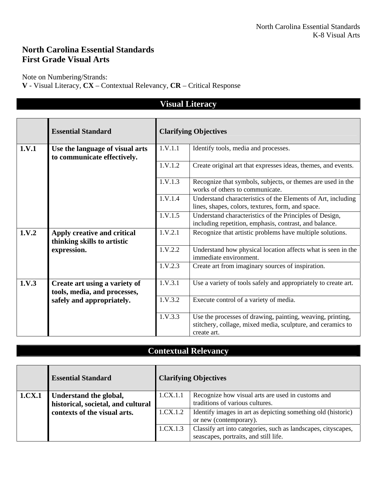### **North Carolina Essential Standards First Grade Visual Arts**

Note on Numbering/Strands:

**V** - Visual Literacy, **CX** – Contextual Relevancy, **CR** – Critical Response

| <b>Visual Literacy</b> |                                                                |         |                                                                                                                                          |
|------------------------|----------------------------------------------------------------|---------|------------------------------------------------------------------------------------------------------------------------------------------|
|                        |                                                                |         |                                                                                                                                          |
|                        | <b>Essential Standard</b>                                      |         | <b>Clarifying Objectives</b>                                                                                                             |
| 1.V.1                  | Use the language of visual arts<br>to communicate effectively. | 1.V.1.1 | Identify tools, media and processes.                                                                                                     |
|                        |                                                                | 1.V.1.2 | Create original art that expresses ideas, themes, and events.                                                                            |
|                        |                                                                | 1.V.1.3 | Recognize that symbols, subjects, or themes are used in the<br>works of others to communicate.                                           |
|                        |                                                                | 1.V.1.4 | Understand characteristics of the Elements of Art, including<br>lines, shapes, colors, textures, form, and space.                        |
|                        |                                                                | 1.V.1.5 | Understand characteristics of the Principles of Design,<br>including repetition, emphasis, contrast, and balance.                        |
| 1.V.2                  | Apply creative and critical<br>thinking skills to artistic     | 1.V.2.1 | Recognize that artistic problems have multiple solutions.                                                                                |
|                        | expression.                                                    | 1.V.2.2 | Understand how physical location affects what is seen in the<br>immediate environment.                                                   |
|                        |                                                                | 1.V.2.3 | Create art from imaginary sources of inspiration.                                                                                        |
| 1.V.3                  | Create art using a variety of<br>tools, media, and processes,  | 1.V.3.1 | Use a variety of tools safely and appropriately to create art.                                                                           |
|                        | safely and appropriately.                                      | 1.V.3.2 | Execute control of a variety of media.                                                                                                   |
|                        |                                                                | 1.V.3.3 | Use the processes of drawing, painting, weaving, printing,<br>stitchery, collage, mixed media, sculpture, and ceramics to<br>create art. |

|        | <b>Essential Standard</b>          |          | <b>Clarifying Objectives</b>                                                                           |
|--------|------------------------------------|----------|--------------------------------------------------------------------------------------------------------|
| 1.CX.1 | Understand the global,             | 1.CX.1.1 | Recognize how visual arts are used in customs and                                                      |
|        | historical, societal, and cultural |          | traditions of various cultures.                                                                        |
|        | contexts of the visual arts.       | 1.CX.1.2 | Identify images in art as depicting something old (historic)<br>or new (contemporary).                 |
|        |                                    | 1.CX.1.3 | Classify art into categories, such as landscapes, cityscapes,<br>seascapes, portraits, and still life. |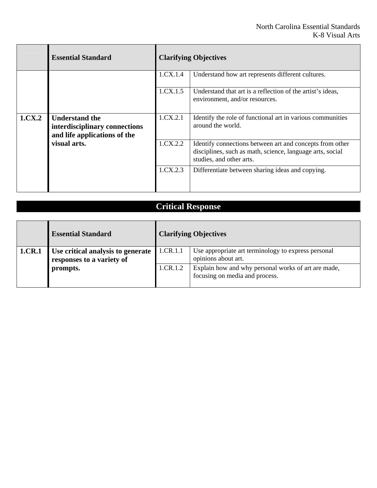|              | <b>Essential Standard</b>                                                              |          | <b>Clarifying Objectives</b>                                                                                                                      |  |  |
|--------------|----------------------------------------------------------------------------------------|----------|---------------------------------------------------------------------------------------------------------------------------------------------------|--|--|
|              |                                                                                        | 1.CX.1.4 | Understand how art represents different cultures.                                                                                                 |  |  |
|              |                                                                                        | 1.CX.1.5 | Understand that art is a reflection of the artist's ideas,<br>environment, and/or resources.                                                      |  |  |
| 1.CX.2       | <b>Understand the</b><br>interdisciplinary connections<br>and life applications of the | 1.CX.2.1 | Identify the role of functional art in various communities<br>around the world.                                                                   |  |  |
| visual arts. |                                                                                        | 1.CX.2.2 | Identify connections between art and concepts from other<br>disciplines, such as math, science, language arts, social<br>studies, and other arts. |  |  |
|              |                                                                                        | 1.CX.2.3 | Differentiate between sharing ideas and copying.                                                                                                  |  |  |

|        | <b>Essential Standard</b>                                                  |          | <b>Clarifying Objectives</b>                                                          |
|--------|----------------------------------------------------------------------------|----------|---------------------------------------------------------------------------------------|
| 1.CR.1 | Use critical analysis to generate<br>responses to a variety of<br>prompts. | 1.CR.1.1 | Use appropriate art terminology to express personal<br>opinions about art.            |
|        |                                                                            | 1.CR.1.2 | Explain how and why personal works of art are made,<br>focusing on media and process. |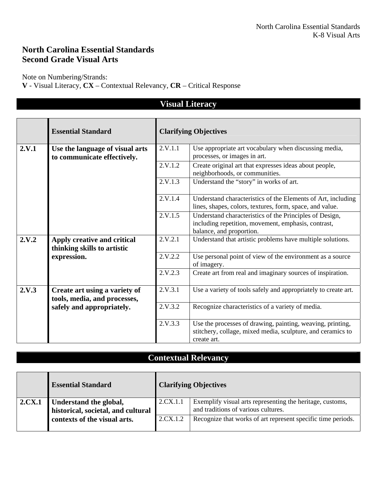### **North Carolina Essential Standards Second Grade Visual Arts**

Note on Numbering/Strands:

**V** - Visual Literacy, **CX** – Contextual Relevancy, **CR** – Critical Response

|       |                                                                |                              | visuai Literacy                                                                                                                            |
|-------|----------------------------------------------------------------|------------------------------|--------------------------------------------------------------------------------------------------------------------------------------------|
|       | <b>Essential Standard</b>                                      | <b>Clarifying Objectives</b> |                                                                                                                                            |
| 2.V.1 | Use the language of visual arts<br>to communicate effectively. | 2.V.1.1                      | Use appropriate art vocabulary when discussing media,<br>processes, or images in art.                                                      |
|       |                                                                | 2.V.1.2                      | Create original art that expresses ideas about people,<br>neighborhoods, or communities.                                                   |
|       |                                                                | 2.V.1.3                      | Understand the "story" in works of art.                                                                                                    |
|       |                                                                | 2.V.1.4                      | Understand characteristics of the Elements of Art, including<br>lines, shapes, colors, textures, form, space, and value.                   |
|       |                                                                | 2.V.1.5                      | Understand characteristics of the Principles of Design,<br>including repetition, movement, emphasis, contrast,<br>balance, and proportion. |
| 2.V.2 | Apply creative and critical<br>thinking skills to artistic     | 2.V.2.1                      | Understand that artistic problems have multiple solutions.                                                                                 |
|       | expression.                                                    | 2.V.2.2                      | Use personal point of view of the environment as a source<br>of imagery.                                                                   |
|       |                                                                | 2.V.2.3                      | Create art from real and imaginary sources of inspiration.                                                                                 |
| 2.V.3 | Create art using a variety of<br>tools, media, and processes,  | 2.V.3.1                      | Use a variety of tools safely and appropriately to create art.                                                                             |
|       | safely and appropriately.                                      | 2.V.3.2                      | Recognize characteristics of a variety of media.                                                                                           |
|       |                                                                | 2.V.3.3                      | Use the processes of drawing, painting, weaving, printing,<br>stitchery, collage, mixed media, sculpture, and ceramics to<br>create art.   |

**V<sub>1</sub> Literacy** 

|               | <b>Essential Standard</b>                                    |          | <b>Clarifying Objectives</b>                                                                     |
|---------------|--------------------------------------------------------------|----------|--------------------------------------------------------------------------------------------------|
| <b>2.CX.1</b> | Understand the global,<br>historical, societal, and cultural | 2.CX.1.1 | Exemplify visual arts representing the heritage, customs,<br>and traditions of various cultures. |
|               | contexts of the visual arts.                                 | 2.CX.1.2 | Recognize that works of art represent specific time periods.                                     |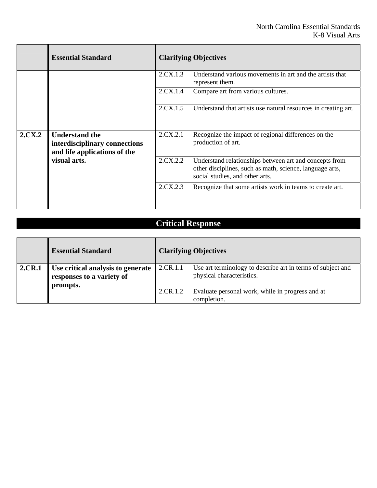Ē.

|        | <b>Essential Standard</b>                                                              | <b>Clarifying Objectives</b> |                                                                                                                                                       |
|--------|----------------------------------------------------------------------------------------|------------------------------|-------------------------------------------------------------------------------------------------------------------------------------------------------|
|        |                                                                                        | 2.CX.1.3                     | Understand various movements in art and the artists that<br>represent them.                                                                           |
|        |                                                                                        | 2.CX.1.4                     | Compare art from various cultures.                                                                                                                    |
|        |                                                                                        | 2.CX.1.5                     | Understand that artists use natural resources in creating art.                                                                                        |
| 2.CX.2 | <b>Understand the</b><br>interdisciplinary connections<br>and life applications of the | 2.CX.2.1                     | Recognize the impact of regional differences on the<br>production of art.                                                                             |
|        | visual arts.                                                                           | 2.CX.2.2                     | Understand relationships between art and concepts from<br>other disciplines, such as math, science, language arts,<br>social studies, and other arts. |
|        |                                                                                        | 2.CX.2.3                     | Recognize that some artists work in teams to create art.                                                                                              |

# **Critical Response**

т

 $\Gamma$ 

 $\overline{\phantom{a}}$ 

|               | <b>Essential Standard</b>                                                  |          | <b>Clarifying Objectives</b>                                                             |
|---------------|----------------------------------------------------------------------------|----------|------------------------------------------------------------------------------------------|
| <b>2.CR.1</b> | Use critical analysis to generate<br>responses to a variety of<br>prompts. | 2.CR.1.1 | Use art terminology to describe art in terms of subject and<br>physical characteristics. |
|               |                                                                            | 2.CR.1.2 | Evaluate personal work, while in progress and at<br>completion.                          |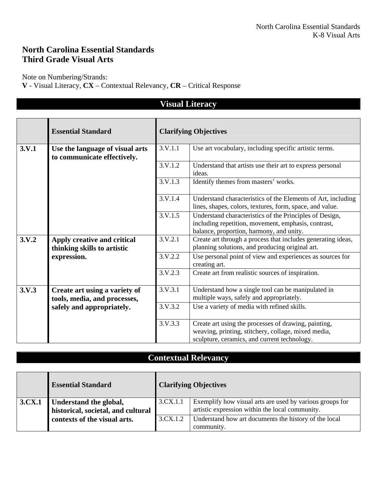### **North Carolina Essential Standards Third Grade Visual Arts**

Note on Numbering/Strands:

**V** - Visual Literacy, **CX** – Contextual Relevancy, **CR** – Critical Response

|       | visual Literacy                                                |                              |                                                                                                                                                             |  |  |
|-------|----------------------------------------------------------------|------------------------------|-------------------------------------------------------------------------------------------------------------------------------------------------------------|--|--|
|       | <b>Essential Standard</b>                                      | <b>Clarifying Objectives</b> |                                                                                                                                                             |  |  |
| 3.V.1 | Use the language of visual arts<br>to communicate effectively. | 3.V.1.1                      | Use art vocabulary, including specific artistic terms.                                                                                                      |  |  |
|       |                                                                | 3.V.1.2                      | Understand that artists use their art to express personal<br>ideas.                                                                                         |  |  |
|       |                                                                | 3.V.1.3                      | Identify themes from masters' works.                                                                                                                        |  |  |
|       |                                                                | 3.V.1.4                      | Understand characteristics of the Elements of Art, including<br>lines, shapes, colors, textures, form, space, and value.                                    |  |  |
|       |                                                                | 3.V.1.5                      | Understand characteristics of the Principles of Design,<br>including repetition, movement, emphasis, contrast,<br>balance, proportion, harmony, and unity.  |  |  |
| 3.V.2 | Apply creative and critical<br>thinking skills to artistic     | 3.V.2.1                      | Create art through a process that includes generating ideas,<br>planning solutions, and producing original art.                                             |  |  |
|       | expression.                                                    | 3.V.2.2                      | Use personal point of view and experiences as sources for<br>creating art.                                                                                  |  |  |
|       |                                                                | 3.V.2.3                      | Create art from realistic sources of inspiration.                                                                                                           |  |  |
| 3.V.3 | Create art using a variety of<br>tools, media, and processes,  | 3.V.3.1                      | Understand how a single tool can be manipulated in<br>multiple ways, safely and appropriately.                                                              |  |  |
|       | safely and appropriately.                                      | 3.V.3.2                      | Use a variety of media with refined skills.                                                                                                                 |  |  |
|       |                                                                | 3. V. 3.3                    | Create art using the processes of drawing, painting,<br>weaving, printing, stitchery, collage, mixed media,<br>sculpture, ceramics, and current technology. |  |  |

**Visual Literacy** 

|        | <b>Essential Standard</b>                                    |          | <b>Clarifying Objectives</b>                                                                                |
|--------|--------------------------------------------------------------|----------|-------------------------------------------------------------------------------------------------------------|
| 3.CX.1 | Understand the global,<br>historical, societal, and cultural | 3.CX.1.1 | Exemplify how visual arts are used by various groups for<br>artistic expression within the local community. |
|        | contexts of the visual arts.                                 | 3.CX.1.2 | Understand how art documents the history of the local<br>community.                                         |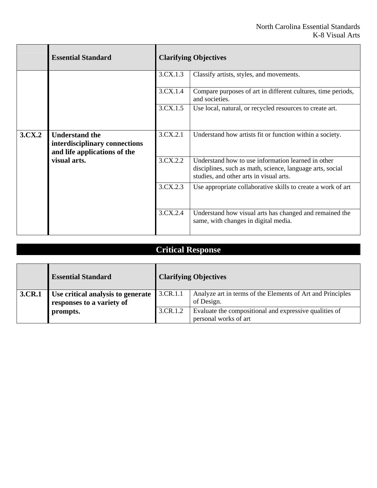|        | <b>Essential Standard</b>                                                              |          | <b>Clarifying Objectives</b>                                                                                                                               |  |
|--------|----------------------------------------------------------------------------------------|----------|------------------------------------------------------------------------------------------------------------------------------------------------------------|--|
|        |                                                                                        | 3.CX.1.3 | Classify artists, styles, and movements.                                                                                                                   |  |
|        |                                                                                        | 3.CX.1.4 | Compare purposes of art in different cultures, time periods,<br>and societies.                                                                             |  |
|        |                                                                                        | 3.CX.1.5 | Use local, natural, or recycled resources to create art.                                                                                                   |  |
| 3.CX.2 | <b>Understand the</b><br>interdisciplinary connections<br>and life applications of the | 3.CX.2.1 | Understand how artists fit or function within a society.                                                                                                   |  |
|        | visual arts.                                                                           | 3.CX.2.2 | Understand how to use information learned in other<br>disciplines, such as math, science, language arts, social<br>studies, and other arts in visual arts. |  |
|        |                                                                                        | 3.CX.2.3 | Use appropriate collaborative skills to create a work of art                                                                                               |  |
|        |                                                                                        | 3.CX.2.4 | Understand how visual arts has changed and remained the<br>same, with changes in digital media.                                                            |  |

|        | <b>Essential Standard</b>         |          | <b>Clarifying Objectives</b>                                             |
|--------|-----------------------------------|----------|--------------------------------------------------------------------------|
| 3.CR.1 | Use critical analysis to generate | 3.CR.1.1 | Analyze art in terms of the Elements of Art and Principles<br>of Design. |
|        | responses to a variety of         | 3.CR.1.2 | Evaluate the compositional and expressive qualities of                   |
|        | prompts.                          |          | personal works of art                                                    |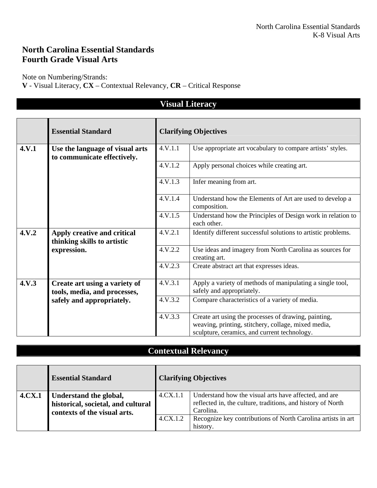### **North Carolina Essential Standards Fourth Grade Visual Arts**

Note on Numbering/Strands:

**V** - Visual Literacy, **CX** – Contextual Relevancy, **CR** – Critical Response

|       |                                                                |         | <b>Visual Literacy</b>                                                                                                                                      |
|-------|----------------------------------------------------------------|---------|-------------------------------------------------------------------------------------------------------------------------------------------------------------|
|       |                                                                |         |                                                                                                                                                             |
|       | <b>Essential Standard</b>                                      |         | <b>Clarifying Objectives</b>                                                                                                                                |
| 4.V.1 | Use the language of visual arts<br>to communicate effectively. | 4.V.1.1 | Use appropriate art vocabulary to compare artists' styles.                                                                                                  |
|       |                                                                | 4.V.1.2 | Apply personal choices while creating art.                                                                                                                  |
|       |                                                                | 4.V.1.3 | Infer meaning from art.                                                                                                                                     |
|       |                                                                | 4.V.1.4 | Understand how the Elements of Art are used to develop a<br>composition.                                                                                    |
|       |                                                                | 4.V.1.5 | Understand how the Principles of Design work in relation to<br>each other.                                                                                  |
| 4.V.2 | Apply creative and critical<br>thinking skills to artistic     | 4.V.2.1 | Identify different successful solutions to artistic problems.                                                                                               |
|       | expression.                                                    | 4.V.2.2 | Use ideas and imagery from North Carolina as sources for<br>creating art.                                                                                   |
|       |                                                                | 4.V.2.3 | Create abstract art that expresses ideas.                                                                                                                   |
| 4.V.3 | Create art using a variety of<br>tools, media, and processes,  | 4.V.3.1 | Apply a variety of methods of manipulating a single tool,<br>safely and appropriately.                                                                      |
|       | safely and appropriately.                                      | 4.V.3.2 | Compare characteristics of a variety of media.                                                                                                              |
|       |                                                                | 4.V.3.3 | Create art using the processes of drawing, painting,<br>weaving, printing, stitchery, collage, mixed media,<br>sculpture, ceramics, and current technology. |

|               | <b>Essential Standard</b>                                          |          | <b>Clarifying Objectives</b>                                                                                         |
|---------------|--------------------------------------------------------------------|----------|----------------------------------------------------------------------------------------------------------------------|
| <b>4.CX.1</b> | Understand the global,                                             | 4.CX.1.1 | Understand how the visual arts have affected, and are<br>reflected in, the culture, traditions, and history of North |
|               | historical, societal, and cultural<br>contexts of the visual arts. |          | Carolina.                                                                                                            |
|               |                                                                    | 4.CX.1.2 | Recognize key contributions of North Carolina artists in art                                                         |
|               |                                                                    |          | history.                                                                                                             |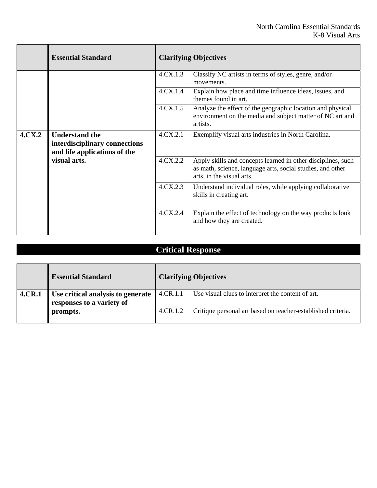|              | <b>Essential Standard</b>                                                              |                                                                                                                                     | <b>Clarifying Objectives</b>                                                                                                                            |  |
|--------------|----------------------------------------------------------------------------------------|-------------------------------------------------------------------------------------------------------------------------------------|---------------------------------------------------------------------------------------------------------------------------------------------------------|--|
|              |                                                                                        | 4.CX.1.3                                                                                                                            | Classify NC artists in terms of styles, genre, and/or<br>movements.                                                                                     |  |
|              |                                                                                        | 4.CX.1.4                                                                                                                            | Explain how place and time influence ideas, issues, and<br>themes found in art.                                                                         |  |
|              | 4.CX.1.5                                                                               | Analyze the effect of the geographic location and physical<br>environment on the media and subject matter of NC art and<br>artists. |                                                                                                                                                         |  |
| 4.CX.2       | <b>Understand the</b><br>interdisciplinary connections<br>and life applications of the | 4.CX.2.1                                                                                                                            | Exemplify visual arts industries in North Carolina.                                                                                                     |  |
| visual arts. |                                                                                        | 4.CX.2.2                                                                                                                            | Apply skills and concepts learned in other disciplines, such<br>as math, science, language arts, social studies, and other<br>arts, in the visual arts. |  |
|              |                                                                                        | 4.CX.2.3                                                                                                                            | Understand individual roles, while applying collaborative<br>skills in creating art.                                                                    |  |
|              |                                                                                        | 4.CX.2.4                                                                                                                            | Explain the effect of technology on the way products look<br>and how they are created.                                                                  |  |

|        | <b>Essential Standard</b>                                      |          | <b>Clarifying Objectives</b>                                 |
|--------|----------------------------------------------------------------|----------|--------------------------------------------------------------|
| 4.CR.1 | Use critical analysis to generate<br>responses to a variety of | 4.CR.1.1 | Use visual clues to interpret the content of art.            |
|        | prompts.                                                       | 4.CR.1.2 | Critique personal art based on teacher-established criteria. |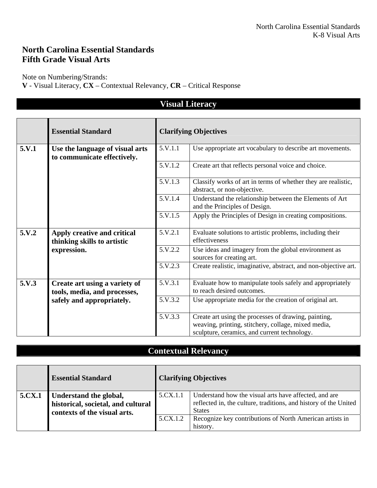### **North Carolina Essential Standards Fifth Grade Visual Arts**

Note on Numbering/Strands:

**V** - Visual Literacy, **CX** – Contextual Relevancy, **CR** – Critical Response

|       | <b>Visual Literacy</b>                                         |         |                                                                                                                                                             |  |  |
|-------|----------------------------------------------------------------|---------|-------------------------------------------------------------------------------------------------------------------------------------------------------------|--|--|
|       |                                                                |         |                                                                                                                                                             |  |  |
|       | <b>Essential Standard</b>                                      |         | <b>Clarifying Objectives</b>                                                                                                                                |  |  |
| 5.V.1 | Use the language of visual arts<br>to communicate effectively. | 5.V.1.1 | Use appropriate art vocabulary to describe art movements.                                                                                                   |  |  |
|       |                                                                | 5.V.1.2 | Create art that reflects personal voice and choice.                                                                                                         |  |  |
|       |                                                                | 5.V.1.3 | Classify works of art in terms of whether they are realistic,<br>abstract, or non-objective.                                                                |  |  |
|       |                                                                | 5.V.1.4 | Understand the relationship between the Elements of Art<br>and the Principles of Design.                                                                    |  |  |
|       |                                                                | 5.V.1.5 | Apply the Principles of Design in creating compositions.                                                                                                    |  |  |
| 5.V.2 | Apply creative and critical<br>thinking skills to artistic     | 5.V.2.1 | Evaluate solutions to artistic problems, including their<br>effectiveness                                                                                   |  |  |
|       | expression.                                                    | 5.V.2.2 | Use ideas and imagery from the global environment as<br>sources for creating art.                                                                           |  |  |
|       |                                                                | 5.V.2.3 | Create realistic, imaginative, abstract, and non-objective art.                                                                                             |  |  |
| 5.V.3 | Create art using a variety of<br>tools, media, and processes,  | 5.V.3.1 | Evaluate how to manipulate tools safely and appropriately<br>to reach desired outcomes.                                                                     |  |  |
|       | safely and appropriately.                                      | 5.V.3.2 | Use appropriate media for the creation of original art.                                                                                                     |  |  |
|       |                                                                | 5.V.3.3 | Create art using the processes of drawing, painting,<br>weaving, printing, stitchery, collage, mixed media,<br>sculpture, ceramics, and current technology. |  |  |

|        | <b>Essential Standard</b>                                                                    |          | <b>Clarifying Objectives</b>                                                                                                               |
|--------|----------------------------------------------------------------------------------------------|----------|--------------------------------------------------------------------------------------------------------------------------------------------|
| 5.CX.1 | Understand the global,<br>historical, societal, and cultural<br>contexts of the visual arts. | 5.CX.1.1 | Understand how the visual arts have affected, and are<br>reflected in, the culture, traditions, and history of the United<br><b>States</b> |
|        |                                                                                              | 5.CX.1.2 | Recognize key contributions of North American artists in<br>history.                                                                       |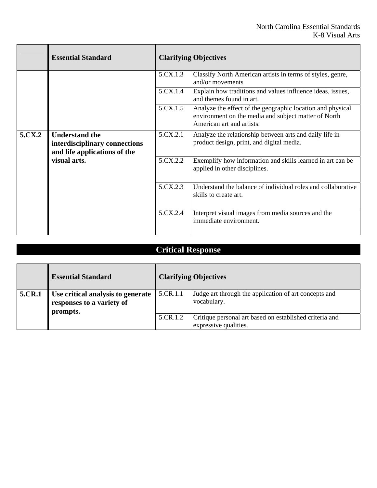|        | <b>Essential Standard</b>                                                              |                                                                                                                                                 | <b>Clarifying Objectives</b>                                                                         |  |
|--------|----------------------------------------------------------------------------------------|-------------------------------------------------------------------------------------------------------------------------------------------------|------------------------------------------------------------------------------------------------------|--|
|        |                                                                                        | 5.CX.1.3                                                                                                                                        | Classify North American artists in terms of styles, genre,<br>and/or movements                       |  |
|        |                                                                                        | 5.CX.1.4                                                                                                                                        | Explain how traditions and values influence ideas, issues,<br>and themes found in art.               |  |
|        | 5.CX.1.5                                                                               | Analyze the effect of the geographic location and physical<br>environment on the media and subject matter of North<br>American art and artists. |                                                                                                      |  |
| 5.CX.2 | <b>Understand the</b><br>interdisciplinary connections<br>and life applications of the | 5.CX.2.1                                                                                                                                        | Analyze the relationship between arts and daily life in<br>product design, print, and digital media. |  |
|        | visual arts.                                                                           | 5.CX.2.2                                                                                                                                        | Exemplify how information and skills learned in art can be<br>applied in other disciplines.          |  |
|        |                                                                                        | 5.CX.2.3                                                                                                                                        | Understand the balance of individual roles and collaborative<br>skills to create art.                |  |
|        |                                                                                        | 5.CX.2.4                                                                                                                                        | Interpret visual images from media sources and the<br>immediate environment.                         |  |

|        | <b>Essential Standard</b>                                                         |          | <b>Clarifying Objectives</b>                                                     |
|--------|-----------------------------------------------------------------------------------|----------|----------------------------------------------------------------------------------|
| 5.CR.1 | <b>Use critical analysis to generate</b><br>responses to a variety of<br>prompts. | 5.CR.1.1 | Judge art through the application of art concepts and<br>vocabulary.             |
|        |                                                                                   | 5.CR.1.2 | Critique personal art based on established criteria and<br>expressive qualities. |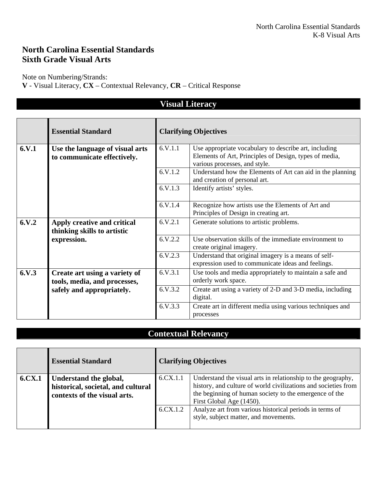### **North Carolina Essential Standards Sixth Grade Visual Arts**

Note on Numbering/Strands:

**V** - Visual Literacy, **CX** – Contextual Relevancy, **CR** – Critical Response

|        | <b>Visual Literacy</b>                                         |           |                                                                                                                                                  |  |  |
|--------|----------------------------------------------------------------|-----------|--------------------------------------------------------------------------------------------------------------------------------------------------|--|--|
|        | <b>Essential Standard</b>                                      |           | <b>Clarifying Objectives</b>                                                                                                                     |  |  |
| 6.V.1  | Use the language of visual arts<br>to communicate effectively. | 6.V.1.1   | Use appropriate vocabulary to describe art, including<br>Elements of Art, Principles of Design, types of media,<br>various processes, and style. |  |  |
|        |                                                                | 6.V.1.2   | Understand how the Elements of Art can aid in the planning<br>and creation of personal art.                                                      |  |  |
|        |                                                                | 6. V. 1.3 | Identify artists' styles.                                                                                                                        |  |  |
|        |                                                                | 6.V.1.4   | Recognize how artists use the Elements of Art and<br>Principles of Design in creating art.                                                       |  |  |
| 6. V.2 | Apply creative and critical<br>thinking skills to artistic     | 6.V.2.1   | Generate solutions to artistic problems.                                                                                                         |  |  |
|        | expression.                                                    | 6.V.2.2   | Use observation skills of the immediate environment to<br>create original imagery.                                                               |  |  |
|        |                                                                | 6.V.2.3   | Understand that original imagery is a means of self-<br>expression used to communicate ideas and feelings.                                       |  |  |
| 6. V.3 | Create art using a variety of<br>tools, media, and processes,  | 6.V.3.1   | Use tools and media appropriately to maintain a safe and<br>orderly work space.                                                                  |  |  |
|        | safely and appropriately.                                      | 6.V.3.2   | Create art using a variety of 2-D and 3-D media, including<br>digital.                                                                           |  |  |
|        |                                                                | 6.V.3.3   | Create art in different media using various techniques and<br>processes                                                                          |  |  |

|        | <b>Essential Standard</b>                                                                    | <b>Clarifying Objectives</b> |                                                                                                                                                                                                                      |
|--------|----------------------------------------------------------------------------------------------|------------------------------|----------------------------------------------------------------------------------------------------------------------------------------------------------------------------------------------------------------------|
| 6.CX.1 | Understand the global,<br>historical, societal, and cultural<br>contexts of the visual arts. | 6.CX.1.1                     | Understand the visual arts in relationship to the geography,<br>history, and culture of world civilizations and societies from<br>the beginning of human society to the emergence of the<br>First Global Age (1450). |
|        |                                                                                              | 6.CX.1.2                     | Analyze art from various historical periods in terms of<br>style, subject matter, and movements.                                                                                                                     |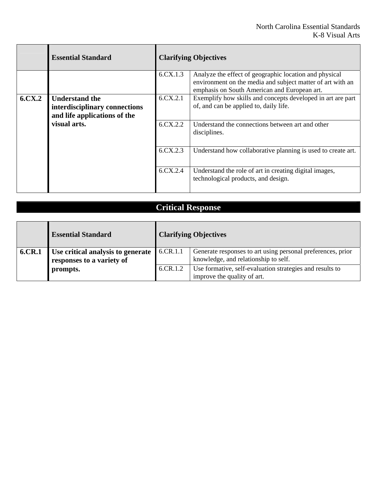|                     | <b>Essential Standard</b>                                                              |          | <b>Clarifying Objectives</b>                                                                                                                                         |  |
|---------------------|----------------------------------------------------------------------------------------|----------|----------------------------------------------------------------------------------------------------------------------------------------------------------------------|--|
|                     |                                                                                        | 6.CX.1.3 | Analyze the effect of geographic location and physical<br>environment on the media and subject matter of art with an<br>emphasis on South American and European art. |  |
| 6. C <sub>X.2</sub> | <b>Understand the</b><br>interdisciplinary connections<br>and life applications of the | 6.CX.2.1 | Exemplify how skills and concepts developed in art are part<br>of, and can be applied to, daily life.                                                                |  |
|                     | visual arts.                                                                           | 6.CX.2.2 | Understand the connections between art and other<br>disciplines.                                                                                                     |  |
|                     |                                                                                        | 6.CX.2.3 | Understand how collaborative planning is used to create art.                                                                                                         |  |
|                     |                                                                                        | 6.CX.2.4 | Understand the role of art in creating digital images,<br>technological products, and design.                                                                        |  |

|        | <b>Essential Standard</b>         |          | <b>Clarifying Objectives</b>                                |
|--------|-----------------------------------|----------|-------------------------------------------------------------|
| 6.CR.1 | Use critical analysis to generate | 6.CR.1.1 | Generate responses to art using personal preferences, prior |
|        | responses to a variety of         |          | knowledge, and relationship to self.                        |
|        | prompts.                          | 6.CR.1.2 | Use formative, self-evaluation strategies and results to    |
|        |                                   |          | improve the quality of art.                                 |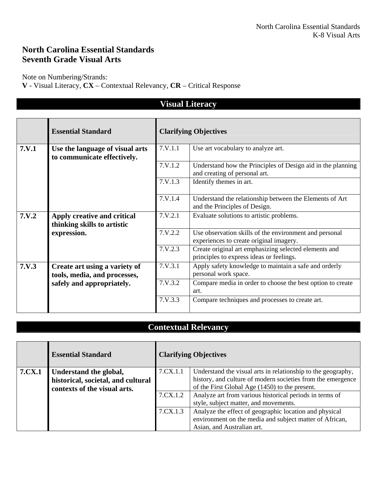### **North Carolina Essential Standards Seventh Grade Visual Arts**

Note on Numbering/Strands:

**V** - Visual Literacy, **CX** – Contextual Relevancy, **CR** – Critical Response

|       | <b>Visual Literacy</b>                                         |                              |                                                                                                   |  |  |
|-------|----------------------------------------------------------------|------------------------------|---------------------------------------------------------------------------------------------------|--|--|
|       | <b>Essential Standard</b>                                      | <b>Clarifying Objectives</b> |                                                                                                   |  |  |
| 7.V.1 | Use the language of visual arts<br>to communicate effectively. | 7.V.1.1                      | Use art vocabulary to analyze art.                                                                |  |  |
|       |                                                                | 7.V.1.2                      | Understand how the Principles of Design aid in the planning<br>and creating of personal art.      |  |  |
|       |                                                                | 7.V.1.3                      | Identify themes in art.                                                                           |  |  |
|       |                                                                | 7.V.1.4                      | Understand the relationship between the Elements of Art<br>and the Principles of Design.          |  |  |
| 7.V.2 | Apply creative and critical<br>thinking skills to artistic     | 7.V.2.1                      | Evaluate solutions to artistic problems.                                                          |  |  |
|       | expression.                                                    | 7.V.2.2                      | Use observation skills of the environment and personal<br>experiences to create original imagery. |  |  |
|       |                                                                | 7. V. 2.3                    | Create original art emphasizing selected elements and<br>principles to express ideas or feelings. |  |  |
| 7.V.3 | Create art using a variety of<br>tools, media, and processes,  | 7.V.3.1                      | Apply safety knowledge to maintain a safe and orderly<br>personal work space.                     |  |  |
|       | safely and appropriately.                                      | 7.V.3.2                      | Compare media in order to choose the best option to create<br>art.                                |  |  |
|       |                                                                | 7.V.3.3                      | Compare techniques and processes to create art.                                                   |  |  |

### **Contextual Relevancy**

|        | <b>Essential Standard</b>          | <b>Clarifying Objectives</b> |                                                              |
|--------|------------------------------------|------------------------------|--------------------------------------------------------------|
| 7.CX.1 | Understand the global,             | 7.CX.1.1                     | Understand the visual arts in relationship to the geography, |
|        | historical, societal, and cultural |                              | history, and culture of modern societies from the emergence  |
|        | contexts of the visual arts.       |                              | of the First Global Age (1450) to the present.               |
|        |                                    | 7.CX.1.2                     | Analyze art from various historical periods in terms of      |
|        |                                    |                              | style, subject matter, and movements.                        |
|        |                                    | 7.CX.1.3                     | Analyze the effect of geographic location and physical       |
|        |                                    |                              | environment on the media and subject matter of African,      |
|        |                                    |                              | Asian, and Australian art.                                   |

#### **Visual Literacy**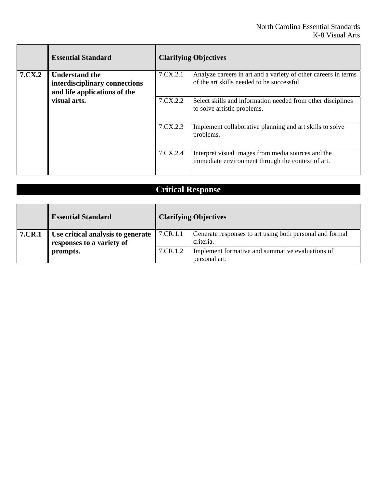|        | <b>Essential Standard</b>                                                              | <b>Clarifying Objectives</b> |                                                                                                              |
|--------|----------------------------------------------------------------------------------------|------------------------------|--------------------------------------------------------------------------------------------------------------|
| 7.CX.2 | <b>Understand the</b><br>interdisciplinary connections<br>and life applications of the | 7.CX.2.1                     | Analyze careers in art and a variety of other careers in terms<br>of the art skills needed to be successful. |
|        | visual arts.                                                                           | 7.CX.2.2                     | Select skills and information needed from other disciplines<br>to solve artistic problems.                   |
|        |                                                                                        | 7.CX.2.3                     | Implement collaborative planning and art skills to solve<br>problems.                                        |
|        |                                                                                        | 7.CX.2.4                     | Interpret visual images from media sources and the<br>immediate environment through the context of art.      |

|                                                           | <b>Critical Response</b>                                       |          |                                                                       |  |  |
|-----------------------------------------------------------|----------------------------------------------------------------|----------|-----------------------------------------------------------------------|--|--|
|                                                           |                                                                |          |                                                                       |  |  |
| <b>Essential Standard</b><br><b>Clarifying Objectives</b> |                                                                |          |                                                                       |  |  |
| 7.CR.1                                                    | Use critical analysis to generate<br>responses to a variety of | 7.CR.1.1 | Generate responses to art using both personal and formal<br>criteria. |  |  |
|                                                           | prompts.                                                       | 7.CR.1.2 | Implement formative and summative evaluations of<br>personal art.     |  |  |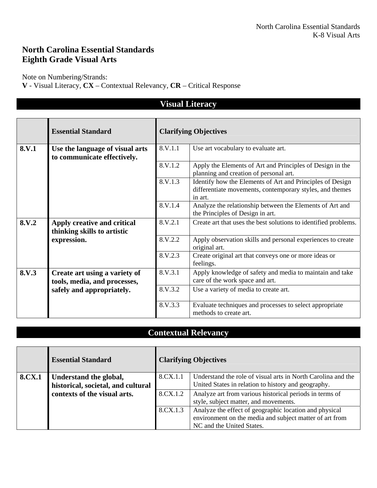### **North Carolina Essential Standards Eighth Grade Visual Arts**

Note on Numbering/Strands:

**V** - Visual Literacy, **CX** – Contextual Relevancy, **CR** – Critical Response

|       | v isual Literacy                                               |         |                                                                                                                                  |  |
|-------|----------------------------------------------------------------|---------|----------------------------------------------------------------------------------------------------------------------------------|--|
|       | <b>Essential Standard</b>                                      |         | <b>Clarifying Objectives</b>                                                                                                     |  |
| 8.V.1 | Use the language of visual arts<br>to communicate effectively. | 8.V.1.1 | Use art vocabulary to evaluate art.                                                                                              |  |
|       |                                                                | 8.V.1.2 | Apply the Elements of Art and Principles of Design in the<br>planning and creation of personal art.                              |  |
|       |                                                                | 8.V.1.3 | Identify how the Elements of Art and Principles of Design<br>differentiate movements, contemporary styles, and themes<br>in art. |  |
|       |                                                                | 8.V.1.4 | Analyze the relationship between the Elements of Art and<br>the Principles of Design in art.                                     |  |
| 8.V.2 | Apply creative and critical<br>thinking skills to artistic     | 8.V.2.1 | Create art that uses the best solutions to identified problems.                                                                  |  |
|       | expression.                                                    | 8.V.2.2 | Apply observation skills and personal experiences to create<br>original art.                                                     |  |
|       |                                                                | 8.V.2.3 | Create original art that conveys one or more ideas or<br>feelings.                                                               |  |
| 8.V.3 | Create art using a variety of<br>tools, media, and processes,  | 8.V.3.1 | Apply knowledge of safety and media to maintain and take<br>care of the work space and art.                                      |  |
|       | safely and appropriately.                                      | 8.V.3.2 | Use a variety of media to create art.                                                                                            |  |
|       |                                                                | 8.V.3.3 | Evaluate techniques and processes to select appropriate<br>methods to create art.                                                |  |

### **Contextual Relevancy**

|        | <b>Essential Standard</b>                                    | <b>Clarifying Objectives</b> |                                                                                                                                                |
|--------|--------------------------------------------------------------|------------------------------|------------------------------------------------------------------------------------------------------------------------------------------------|
| 8.CX.1 | Understand the global,<br>historical, societal, and cultural | 8.CX.1.1                     | Understand the role of visual arts in North Carolina and the<br>United States in relation to history and geography.                            |
|        | contexts of the visual arts.                                 | 8.CX.1.2                     | Analyze art from various historical periods in terms of<br>style, subject matter, and movements.                                               |
|        |                                                              | 8.CX.1.3                     | Analyze the effect of geographic location and physical<br>environment on the media and subject matter of art from<br>NC and the United States. |

### **Vigual Lite**